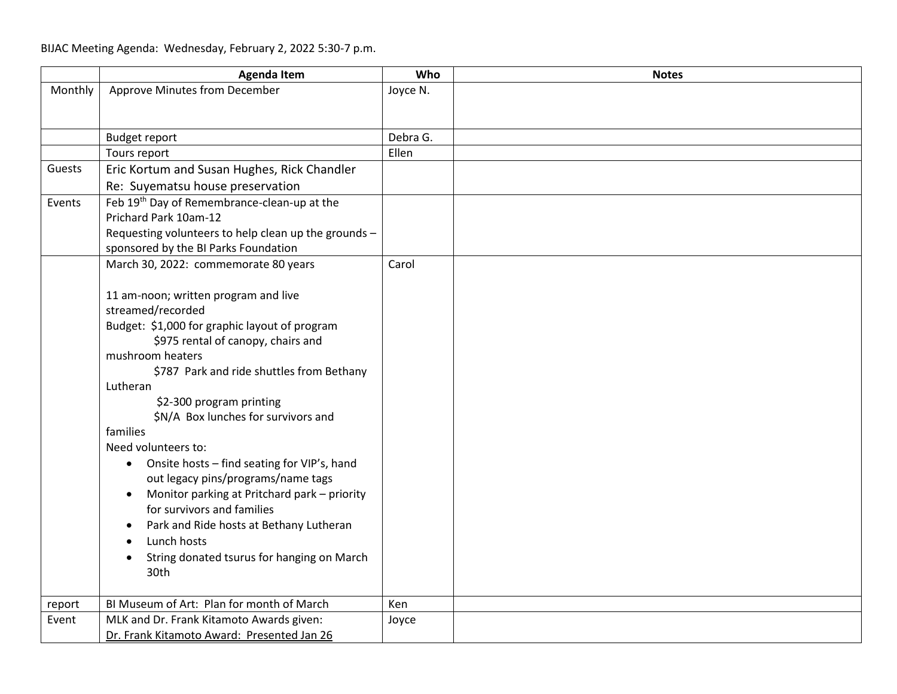|         | <b>Agenda Item</b>                                        | Who      | <b>Notes</b> |
|---------|-----------------------------------------------------------|----------|--------------|
| Monthly | Approve Minutes from December                             | Joyce N. |              |
|         |                                                           |          |              |
|         | <b>Budget report</b>                                      | Debra G. |              |
|         | Tours report                                              | Ellen    |              |
| Guests  | Eric Kortum and Susan Hughes, Rick Chandler               |          |              |
|         | Re: Suyematsu house preservation                          |          |              |
| Events  | Feb 19th Day of Remembrance-clean-up at the               |          |              |
|         | Prichard Park 10am-12                                     |          |              |
|         | Requesting volunteers to help clean up the grounds -      |          |              |
|         | sponsored by the BI Parks Foundation                      |          |              |
|         | March 30, 2022: commemorate 80 years                      | Carol    |              |
|         |                                                           |          |              |
|         | 11 am-noon; written program and live                      |          |              |
|         | streamed/recorded                                         |          |              |
|         | Budget: \$1,000 for graphic layout of program             |          |              |
|         | \$975 rental of canopy, chairs and<br>mushroom heaters    |          |              |
|         | \$787 Park and ride shuttles from Bethany                 |          |              |
|         | Lutheran                                                  |          |              |
|         | \$2-300 program printing                                  |          |              |
|         | \$N/A Box lunches for survivors and                       |          |              |
|         | families                                                  |          |              |
|         | Need volunteers to:                                       |          |              |
|         | Onsite hosts - find seating for VIP's, hand<br>$\bullet$  |          |              |
|         | out legacy pins/programs/name tags                        |          |              |
|         | Monitor parking at Pritchard park - priority<br>$\bullet$ |          |              |
|         | for survivors and families                                |          |              |
|         | Park and Ride hosts at Bethany Lutheran                   |          |              |
|         | Lunch hosts                                               |          |              |
|         | String donated tsurus for hanging on March                |          |              |
|         | 30th                                                      |          |              |
| report  | BI Museum of Art: Plan for month of March                 | Ken      |              |
| Event   | MLK and Dr. Frank Kitamoto Awards given:                  | Joyce    |              |
|         | Dr. Frank Kitamoto Award: Presented Jan 26                |          |              |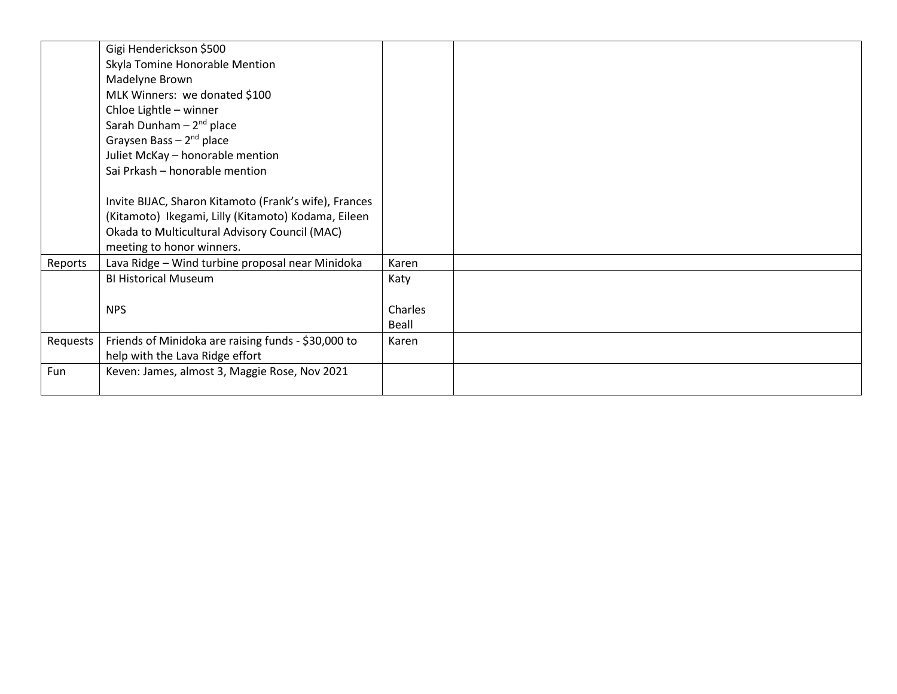|          | Gigi Henderickson \$500                               |         |  |
|----------|-------------------------------------------------------|---------|--|
|          | Skyla Tomine Honorable Mention                        |         |  |
|          | Madelyne Brown                                        |         |  |
|          | MLK Winners: we donated \$100                         |         |  |
|          | Chloe Lightle - winner                                |         |  |
|          | Sarah Dunham $-2nd$ place                             |         |  |
|          | Graysen Bass $-2^{nd}$ place                          |         |  |
|          | Juliet McKay - honorable mention                      |         |  |
|          | Sai Prkash - honorable mention                        |         |  |
|          |                                                       |         |  |
|          | Invite BIJAC, Sharon Kitamoto (Frank's wife), Frances |         |  |
|          | (Kitamoto) Ikegami, Lilly (Kitamoto) Kodama, Eileen   |         |  |
|          | Okada to Multicultural Advisory Council (MAC)         |         |  |
|          | meeting to honor winners.                             |         |  |
| Reports  | Lava Ridge - Wind turbine proposal near Minidoka      | Karen   |  |
|          | <b>BI Historical Museum</b>                           | Katy    |  |
|          |                                                       |         |  |
|          | <b>NPS</b>                                            | Charles |  |
|          |                                                       | Beall   |  |
| Requests | Friends of Minidoka are raising funds - \$30,000 to   | Karen   |  |
|          | help with the Lava Ridge effort                       |         |  |
| Fun      | Keven: James, almost 3, Maggie Rose, Nov 2021         |         |  |
|          |                                                       |         |  |